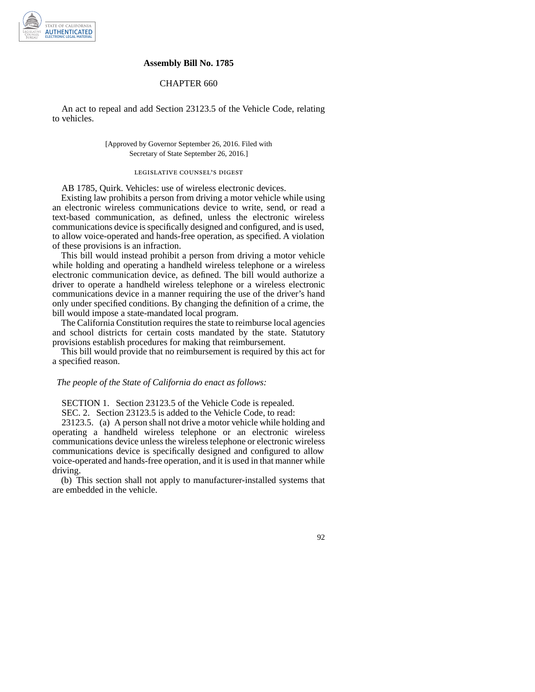

#### **Assembly Bill No. 1785**

## CHAPTER 660

An act to repeal and add Section 23123.5 of the Vehicle Code, relating to vehicles.

### [Approved by Governor September 26, 2016. Filed with Secretary of State September 26, 2016.]

# legislative counsel' s digest

AB 1785, Quirk. Vehicles: use of wireless electronic devices.

Existing law prohibits a person from driving a motor vehicle while using an electronic wireless communications device to write, send, or read a text-based communication, as defined, unless the electronic wireless communications device is specifically designed and configured, and is used, to allow voice-operated and hands-free operation, as specified. A violation of these provisions is an infraction.

This bill would instead prohibit a person from driving a motor vehicle while holding and operating a handheld wireless telephone or a wireless electronic communication device, as defined. The bill would authorize a driver to operate a handheld wireless telephone or a wireless electronic communications device in a manner requiring the use of the driver's hand only under specified conditions. By changing the definition of a crime, the bill would impose a state-mandated local program.

The California Constitution requires the state to reimburse local agencies and school districts for certain costs mandated by the state. Statutory provisions establish procedures for making that reimbursement.

This bill would provide that no reimbursement is required by this act for a specified reason.

#### *The people of the State of California do enact as follows:*

SECTION 1. Section 23123.5 of the Vehicle Code is repealed.

SEC. 2. Section 23123.5 is added to the Vehicle Code, to read:

23123.5. (a) A person shall not drive a motor vehicle while holding and operating a handheld wireless telephone or an electronic wireless communications device unless the wireless telephone or electronic wireless communications device is specifically designed and configured to allow voice-operated and hands-free operation, and it is used in that manner while driving.

(b) This section shall not apply to manufacturer-installed systems that are embedded in the vehicle.

92